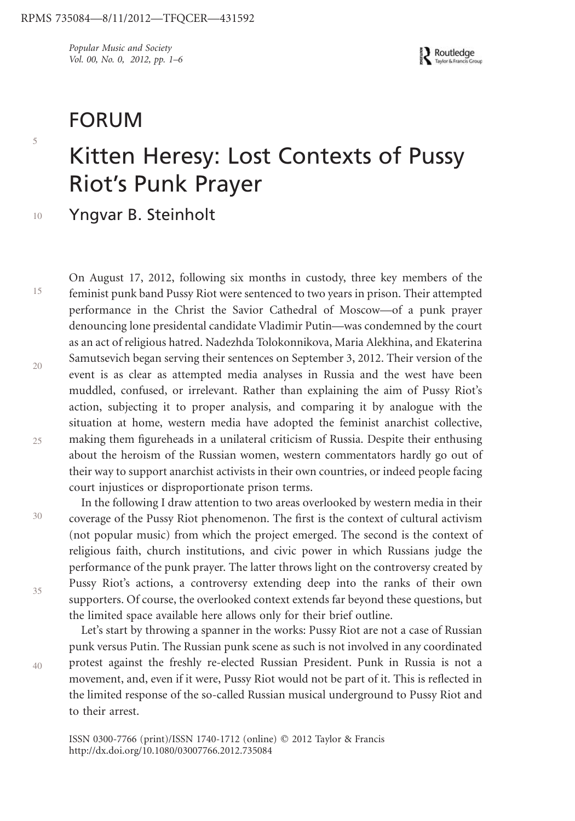Popular Music and Society Vol. 00, No. 0, 2012, pp. 1–6

**}** Routledge Taylor & Francis Group

# FORUM

# Kitten Heresy: Lost Contexts of Pussy Riot's Punk Prayer

Yngvar B. Steinholt 10

> On August 17, 2012, following six months in custody, three key members of the feminist punk band Pussy Riot were sentenced to two years in prison. Their attempted performance in the Christ the Savior Cathedral of Moscow—of a punk prayer denouncing lone presidental candidate Vladimir Putin—was condemned by the court as an act of religious hatred. Nadezhda Tolokonnikova, Maria Alekhina, and Ekaterina Samutsevich began serving their sentences on September 3, 2012. Their version of the event is as clear as attempted media analyses in Russia and the west have been muddled, confused, or irrelevant. Rather than explaining the aim of Pussy Riot's action, subjecting it to proper analysis, and comparing it by analogue with the situation at home, western media have adopted the feminist anarchist collective, making them figureheads in a unilateral criticism of Russia. Despite their enthusing about the heroism of the Russian women, western commentators hardly go out of their way to support anarchist activists in their own countries, or indeed people facing court injustices or disproportionate prison terms.

In the following I draw attention to two areas overlooked by western media in their coverage of the Pussy Riot phenomenon. The first is the context of cultural activism (not popular music) from which the project emerged. The second is the context of religious faith, church institutions, and civic power in which Russians judge the performance of the punk prayer. The latter throws light on the controversy created by Pussy Riot's actions, a controversy extending deep into the ranks of their own supporters. Of course, the overlooked context extends far beyond these questions, but the limited space available here allows only for their brief outline.

Let's start by throwing a spanner in the works: Pussy Riot are not a case of Russian punk versus Putin. The Russian punk scene as such is not involved in any coordinated protest against the freshly re-elected Russian President. Punk in Russia is not a movement, and, even if it were, Pussy Riot would not be part of it. This is reflected in the limited response of the so-called Russian musical underground to Pussy Riot and to their arrest.

ISSN 0300-7766 (print)/ISSN 1740-1712 (online) q 2012 Taylor & Francis <http://dx.doi.org/10.1080/03007766.2012.735084>

5

 $20$ 

15

30

35

40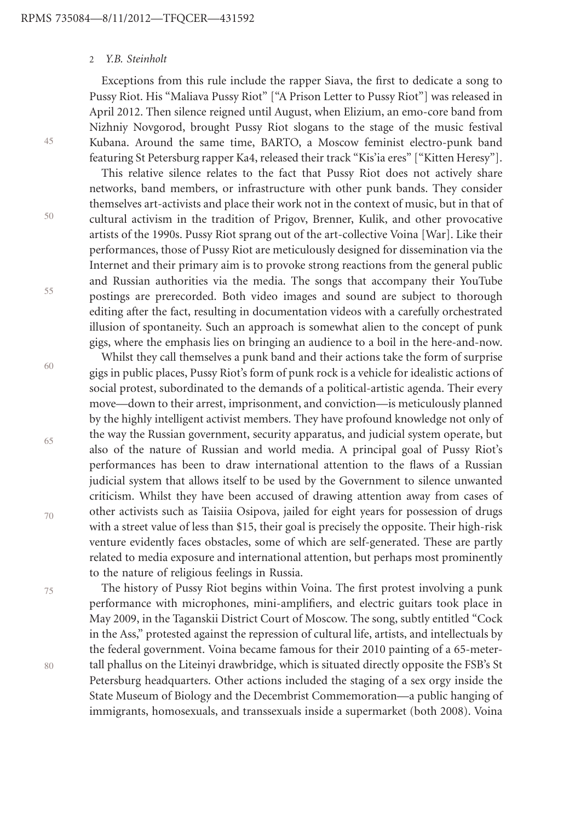#### 2 Y.B. Steinholt

Exceptions from this rule include the rapper Siava, the first to dedicate a song to Pussy Riot. His "Maliava Pussy Riot" ["A Prison Letter to Pussy Riot"] was released in April 2012. Then silence reigned until August, when Elizium, an emo-core band from Nizhniy Novgorod, brought Pussy Riot slogans to the stage of the music festival Kubana. Around the same time, BARTO, a Moscow feminist electro-punk band featuring St Petersburg rapper Ka4, released their track "Kis'ia eres" ["Kitten Heresy"].

This relative silence relates to the fact that Pussy Riot does not actively share networks, band members, or infrastructure with other punk bands. They consider themselves art-activists and place their work not in the context of music, but in that of cultural activism in the tradition of Prigov, Brenner, Kulik, and other provocative artists of the 1990s. Pussy Riot sprang out of the art-collective Voina [War]. Like their performances, those of Pussy Riot are meticulously designed for dissemination via the Internet and their primary aim is to provoke strong reactions from the general public and Russian authorities via the media. The songs that accompany their YouTube postings are prerecorded. Both video images and sound are subject to thorough editing after the fact, resulting in documentation videos with a carefully orchestrated illusion of spontaneity. Such an approach is somewhat alien to the concept of punk gigs, where the emphasis lies on bringing an audience to a boil in the here-and-now.

Whilst they call themselves a punk band and their actions take the form of surprise gigs in public places, Pussy Riot's form of punk rock is a vehicle for idealistic actions of social protest, subordinated to the demands of a political-artistic agenda. Their every move—down to their arrest, imprisonment, and conviction—is meticulously planned by the highly intelligent activist members. They have profound knowledge not only of the way the Russian government, security apparatus, and judicial system operate, but also of the nature of Russian and world media. A principal goal of Pussy Riot's performances has been to draw international attention to the flaws of a Russian judicial system that allows itself to be used by the Government to silence unwanted criticism. Whilst they have been accused of drawing attention away from cases of other activists such as Taisiia Osipova, jailed for eight years for possession of drugs with a street value of less than \$15, their goal is precisely the opposite. Their high-risk venture evidently faces obstacles, some of which are self-generated. These are partly related to media exposure and international attention, but perhaps most prominently to the nature of religious feelings in Russia.

The history of Pussy Riot begins within Voina. The first protest involving a punk performance with microphones, mini-amplifiers, and electric guitars took place in May 2009, in the Taganskii District Court of Moscow. The song, subtly entitled "Cock in the Ass," protested against the repression of cultural life, artists, and intellectuals by the federal government. Voina became famous for their 2010 painting of a 65-metertall phallus on the Liteinyi drawbridge, which is situated directly opposite the FSB's St Petersburg headquarters. Other actions included the staging of a sex orgy inside the State Museum of Biology and the Decembrist Commemoration—a public hanging of immigrants, homosexuals, and transsexuals inside a supermarket (both 2008). Voina

55

45

50

60

65

70

75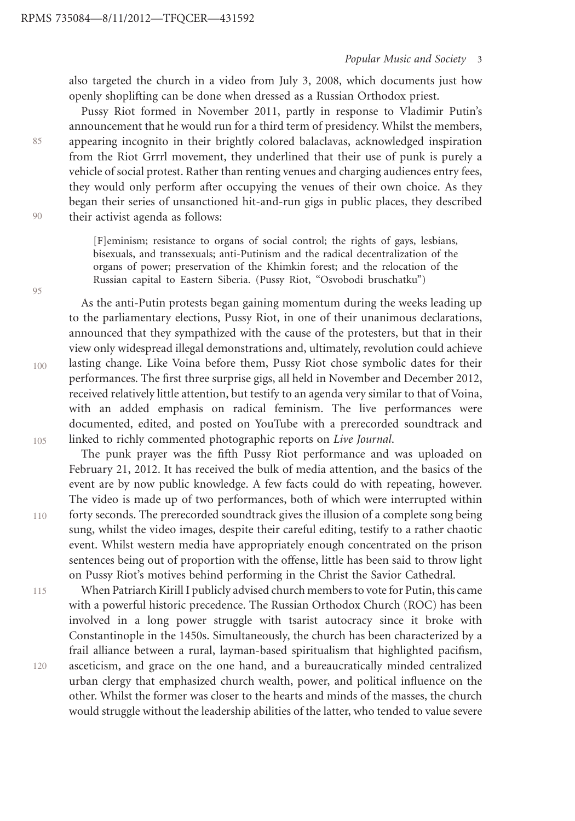#### Popular Music and Society 3

also targeted the church in a video from July 3, 2008, which documents just how openly shoplifting can be done when dressed as a Russian Orthodox priest.

Pussy Riot formed in November 2011, partly in response to Vladimir Putin's announcement that he would run for a third term of presidency. Whilst the members, appearing incognito in their brightly colored balaclavas, acknowledged inspiration from the Riot Grrrl movement, they underlined that their use of punk is purely a vehicle of social protest. Rather than renting venues and charging audiences entry fees, they would only perform after occupying the venues of their own choice. As they began their series of unsanctioned hit-and-run gigs in public places, they described their activist agenda as follows:

[F]eminism; resistance to organs of social control; the rights of gays, lesbians, bisexuals, and transsexuals; anti-Putinism and the radical decentralization of the organs of power; preservation of the Khimkin forest; and the relocation of the Russian capital to Eastern Siberia. (Pussy Riot, "Osvobodi bruschatku")

As the anti-Putin protests began gaining momentum during the weeks leading up to the parliamentary elections, Pussy Riot, in one of their unanimous declarations, announced that they sympathized with the cause of the protesters, but that in their view only widespread illegal demonstrations and, ultimately, revolution could achieve lasting change. Like Voina before them, Pussy Riot chose symbolic dates for their performances. The first three surprise gigs, all held in November and December 2012, received relatively little attention, but testify to an agenda very similar to that of Voina, with an added emphasis on radical feminism. The live performances were documented, edited, and posted on YouTube with a prerecorded soundtrack and linked to richly commented photographic reports on Live Journal.

The punk prayer was the fifth Pussy Riot performance and was uploaded on February 21, 2012. It has received the bulk of media attention, and the basics of the event are by now public knowledge. A few facts could do with repeating, however. The video is made up of two performances, both of which were interrupted within forty seconds. The prerecorded soundtrack gives the illusion of a complete song being sung, whilst the video images, despite their careful editing, testify to a rather chaotic event. Whilst western media have appropriately enough concentrated on the prison sentences being out of proportion with the offense, little has been said to throw light on Pussy Riot's motives behind performing in the Christ the Savior Cathedral.

When Patriarch Kirill I publicly advised church members to vote for Putin, this came with a powerful historic precedence. The Russian Orthodox Church (ROC) has been involved in a long power struggle with tsarist autocracy since it broke with Constantinople in the 1450s. Simultaneously, the church has been characterized by a frail alliance between a rural, layman-based spiritualism that highlighted pacifism, asceticism, and grace on the one hand, and a bureaucratically minded centralized urban clergy that emphasized church wealth, power, and political influence on the other. Whilst the former was closer to the hearts and minds of the masses, the church would struggle without the leadership abilities of the latter, who tended to value severe 115 120

 $9<sub>0</sub>$ 

85

100

105

110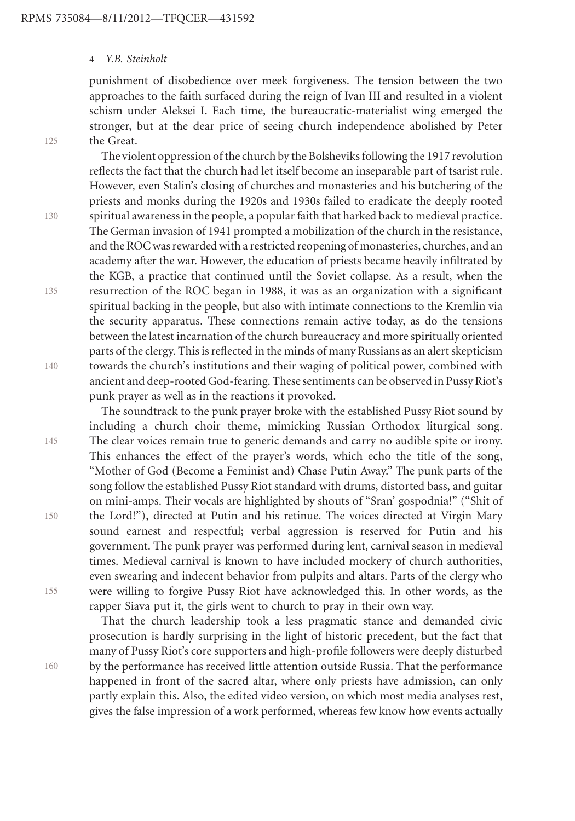#### 4 Y.B. Steinholt

punishment of disobedience over meek forgiveness. The tension between the two approaches to the faith surfaced during the reign of Ivan III and resulted in a violent schism under Aleksei I. Each time, the bureaucratic-materialist wing emerged the stronger, but at the dear price of seeing church independence abolished by Peter the Great.

The violent oppression of the church by the Bolsheviks following the 1917 revolution reflects the fact that the church had let itself become an inseparable part of tsarist rule. However, even Stalin's closing of churches and monasteries and his butchering of the priests and monks during the 1920s and 1930s failed to eradicate the deeply rooted spiritual awareness in the people, a popular faith that harked back to medieval practice. The German invasion of 1941 prompted a mobilization of the church in the resistance, and the ROC was rewarded with a restricted reopening of monasteries, churches, and an academy after the war. However, the education of priests became heavily infiltrated by the KGB, a practice that continued until the Soviet collapse. As a result, when the resurrection of the ROC began in 1988, it was as an organization with a significant spiritual backing in the people, but also with intimate connections to the Kremlin via the security apparatus. These connections remain active today, as do the tensions between the latest incarnation of the church bureaucracy and more spiritually oriented parts of the clergy. This is reflected in the minds of many Russians as an alert skepticism towards the church's institutions and their waging of political power, combined with ancient and deep-rooted God-fearing. These sentiments can be observed in Pussy Riot's punk prayer as well as in the reactions it provoked.

The soundtrack to the punk prayer broke with the established Pussy Riot sound by including a church choir theme, mimicking Russian Orthodox liturgical song. The clear voices remain true to generic demands and carry no audible spite or irony. This enhances the effect of the prayer's words, which echo the title of the song, "Mother of God (Become a Feminist and) Chase Putin Away." The punk parts of the song follow the established Pussy Riot standard with drums, distorted bass, and guitar on mini-amps. Their vocals are highlighted by shouts of "Sran' gospodnia!" ("Shit of the Lord!"), directed at Putin and his retinue. The voices directed at Virgin Mary sound earnest and respectful; verbal aggression is reserved for Putin and his government. The punk prayer was performed during lent, carnival season in medieval times. Medieval carnival is known to have included mockery of church authorities, even swearing and indecent behavior from pulpits and altars. Parts of the clergy who were willing to forgive Pussy Riot have acknowledged this. In other words, as the rapper Siava put it, the girls went to church to pray in their own way.

That the church leadership took a less pragmatic stance and demanded civic prosecution is hardly surprising in the light of historic precedent, but the fact that many of Pussy Riot's core supporters and high-profile followers were deeply disturbed by the performance has received little attention outside Russia. That the performance happened in front of the sacred altar, where only priests have admission, can only partly explain this. Also, the edited video version, on which most media analyses rest, gives the false impression of a work performed, whereas few know how events actually

125

135

140

145

150

155

160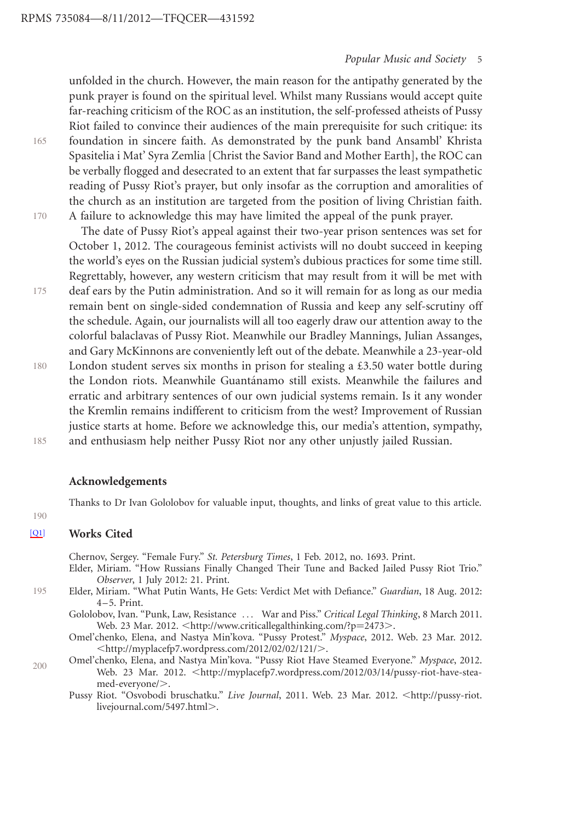### Popular Music and Society 5

unfolded in the church. However, the main reason for the antipathy generated by the punk prayer is found on the spiritual level. Whilst many Russians would accept quite far-reaching criticism of the ROC as an institution, the self-professed atheists of Pussy Riot failed to convince their audiences of the main prerequisite for such critique: its foundation in sincere faith. As demonstrated by the punk band Ansambl' Khrista Spasitelia i Mat' Syra Zemlia [Christ the Savior Band and Mother Earth], the ROC can be verbally flogged and desecrated to an extent that far surpasses the least sympathetic reading of Pussy Riot's prayer, but only insofar as the corruption and amoralities of the church as an institution are targeted from the position of living Christian faith. A failure to acknowledge this may have limited the appeal of the punk prayer.

The date of Pussy Riot's appeal against their two-year prison sentences was set for October 1, 2012. The courageous feminist activists will no doubt succeed in keeping the world's eyes on the Russian judicial system's dubious practices for some time still. Regrettably, however, any western criticism that may result from it will be met with deaf ears by the Putin administration. And so it will remain for as long as our media remain bent on single-sided condemnation of Russia and keep any self-scrutiny off the schedule. Again, our journalists will all too eagerly draw our attention away to the colorful balaclavas of Pussy Riot. Meanwhile our Bradley Mannings, Julian Assanges, and Gary McKinnons are conveniently left out of the debate. Meanwhile a 23-year-old London student serves six months in prison for stealing a £3.50 water bottle during the London riots. Meanwhile Guantánamo still exists. Meanwhile the failures and erratic and arbitrary sentences of our own judicial systems remain. Is it any wonder the Kremlin remains indifferent to criticism from the west? Improvement of Russian justice starts at home. Before we acknowledge this, our media's attention, sympathy, and enthusiasm help neither Pussy Riot nor any other unjustly jailed Russian. 175 180 185

#### Acknowledgements

Thanks to Dr Ivan Gololobov for valuable input, thoughts, and links of great value to this article.

190

165

170

#### Works Cited [Q1]

Chernov, Sergey. "Female Fury." St. Petersburg Times, 1 Feb. 2012, no. 1693. Print.

- Elder, Miriam. "How Russians Finally Changed Their Tune and Backed Jailed Pussy Riot Trio." Observer, 1 July 2012: 21. Print.
- Elder, Miriam. "What Putin Wants, He Gets: Verdict Met with Defiance." Guardian, 18 Aug. 2012: 4–5. Print. 195
	- Gololobov, Ivan. "Punk, Law, Resistance ... War and Piss." Critical Legal Thinking, 8 March 2011. Web. 23 Mar. 2012. <[http://www.criticallegalthinking.com/?p](http://www.criticallegalthinking.com/?p=2473)=2473>.
	- Omel'chenko, Elena, and Nastya Min'kova. "Pussy Protest." Myspace, 2012. Web. 23 Mar. 2012.  $\langle \text{http://myplacefp7.wordpress.com/2012/02/121/}.$
	- Omel'chenko, Elena, and Nastya Min'kova. "Pussy Riot Have Steamed Everyone." Myspace, 2012. Web. 23 Mar. 2012. <[http://myplacefp7.wordpress.com/2012/03/14/pussy-riot-have-stea](http://myplacefp7.wordpress.com/2012/03/14/pussy-riot-have-steamed-everyone/)[med-everyone/](http://myplacefp7.wordpress.com/2012/03/14/pussy-riot-have-steamed-everyone/)>.
		- Pussy Riot. "Osvobodi bruschatku." Live Journal, 2011. Web. 23 Mar. 2012. <[http://pussy-riot.](http://pussy-riot.livejournal.com/5497.html) [livejournal.com/5497.html](http://pussy-riot.livejournal.com/5497.html)>.